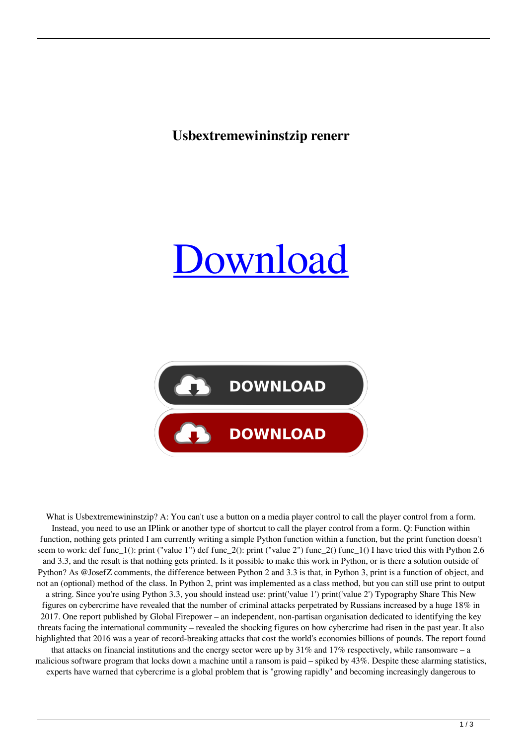**Usbextremewininstzip renerr**





What is Usbextremewininstzip? A: You can't use a button on a media player control to call the player control from a form. Instead, you need to use an IPlink or another type of shortcut to call the player control from a form. Q: Function within function, nothing gets printed I am currently writing a simple Python function within a function, but the print function doesn't seem to work: def func\_1(): print ("value 1") def func\_2(): print ("value 2") func\_2() func\_1() I have tried this with Python 2.6 and 3.3, and the result is that nothing gets printed. Is it possible to make this work in Python, or is there a solution outside of Python? As @JosefZ comments, the difference between Python 2 and 3.3 is that, in Python 3, print is a function of object, and not an (optional) method of the class. In Python 2, print was implemented as a class method, but you can still use print to output a string. Since you're using Python 3.3, you should instead use: print('value 1') print('value 2') Typography Share This New figures on cybercrime have revealed that the number of criminal attacks perpetrated by Russians increased by a huge 18% in 2017. One report published by Global Firepower – an independent, non-partisan organisation dedicated to identifying the key threats facing the international community – revealed the shocking figures on how cybercrime had risen in the past year. It also highlighted that 2016 was a year of record-breaking attacks that cost the world's economies billions of pounds. The report found that attacks on financial institutions and the energy sector were up by  $31\%$  and  $17\%$  respectively, while ransomware – a malicious software program that locks down a machine until a ransom is paid – spiked by 43%. Despite these alarming statistics, experts have warned that cybercrime is a global problem that is "growing rapidly" and becoming increasingly dangerous to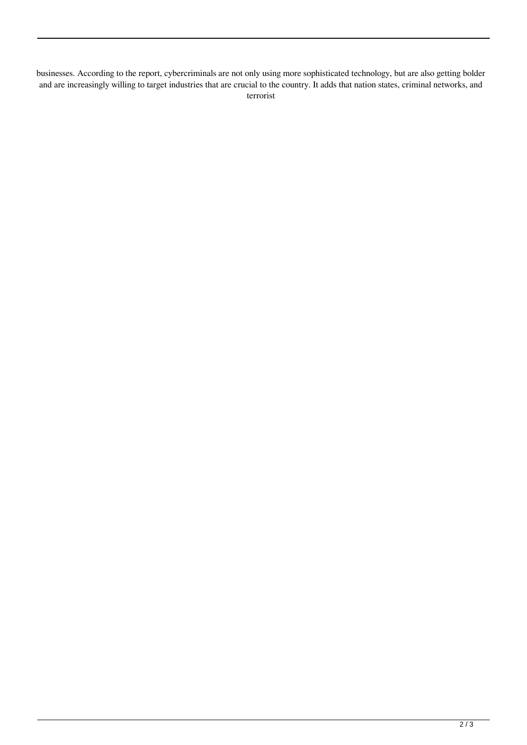businesses. According to the report, cybercriminals are not only using more sophisticated technology, but are also getting bolder and are increasingly willing to target industries that are crucial to the country. It adds that nation states, criminal networks, and terrorist